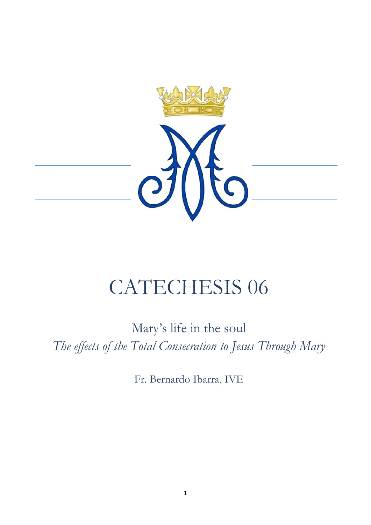

# CATECHESIS 06

Mary's life in the soul *The effects of the Total Consecration to Jesus Through Mary*

Fr. Bernardo Ibarra, IVE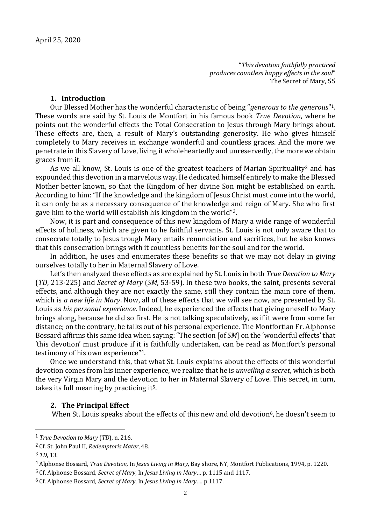"*This devotion faithfully practiced produces countless happy effects in the soul*" The Secret of Mary, 55

# **1. Introduction**

Our Blessed Mother has the wonderful characteristic of being "*generous to the generous*" 1. These words are said by St. Louis de Montfort in his famous book *True Devotion*, where he points out the wonderful effects the Total Consecration to Jesus through Mary brings about. These effects are, then, a result of Mary's outstanding generosity. He who gives himself completely to Mary receives in exchange wonderful and countless graces. And the more we penetrate in this Slavery of Love, living it wholeheartedly and unreservedly, the more we obtain graces from it.

As we all know, St. Louis is one of the greatest teachers of Marian Spirituality<sup>2</sup> and has expounded this devotion in a marvelous way. He dedicated himself entirely to make the Blessed Mother better known, so that the Kingdom of her divine Son might be established on earth. According to him: "If the knowledge and the kingdom of Jesus Christ must come into the world, it can only be as a necessary consequence of the knowledge and reign of Mary. She who first gave him to the world will establish his kingdom in the world"3.

Now, it is part and consequence of this new kingdom of Mary a wide range of wonderful effects of holiness, which are given to he faithful servants. St. Louis is not only aware that to consecrate totally to Jesus trough Mary entails renunciation and sacrifices, but he also knows that this consecration brings with it countless benefits for the soul and for the world.

In addition, he uses and enumerates these benefits so that we may not delay in giving ourselves totally to her in Maternal Slavery of Love.

Let's then analyzed these effects as are explained by St. Louis in both *True Devotion to Mary* (*TD*, 213-225) and *Secret of Mary* (*SM*, 53-59). In these two books, the saint, presents several effects, and although they are not exactly the same, still they contain the main core of them, which is *a new life in Mary*. Now, all of these effects that we will see now, are presented by St. Louis as *his personal experience*. Indeed, he experienced the effects that giving oneself to Mary brings along, because he did so first. He is not talking speculatively, as if it were from some far distance; on the contrary, he talks out of his personal experience. The Montfortian Fr. Alphonse Bossard affirms this same idea when saying: "The section [of *SM*] on the 'wonderful effects' that 'this devotion' must produce if it is faithfully undertaken, can be read as Montfort's personal testimony of his own experience"4.

Once we understand this, that what St. Louis explains about the effects of this wonderful devotion comes from his inner experience, we realize that he is *unveiling a secret*, which is both the very Virgin Mary and the devotion to her in Maternal Slavery of Love. This secret, in turn, takes its full meaning by practicing it5.

## **2. The Principal Effect**

When St. Louis speaks about the effects of this new and old devotion<sup>6</sup>, he doesn't seem to

<sup>1</sup> *True Devotion to Mary* (*TD*), n. 216.

<sup>2</sup> Cf. St. John Paul II, *Redemptoris Mater*, 48.

<sup>3</sup> *TD*, 13.

<sup>4</sup> Alphonse Bossard, *True Devotion*, In *Jesus Living in Mary*, Bay shore, NY, Montfort Publications, 1994, p. 1220.

<sup>5</sup> Cf. Alphonse Bossard, *Secret of Mary*, In *Jesus Living in Mary*… p. 1115 and 1117.

<sup>6</sup> Cf. Alphonse Bossard, *Secret of Mary*, In *Jesus Living in Mary*…. p.1117.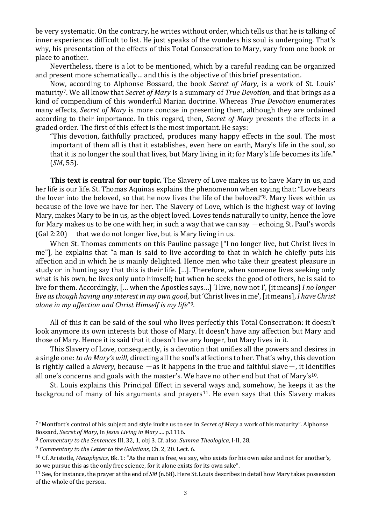be very systematic. On the contrary, he writes without order, which tells us that he is talking of inner experiences difficult to list. He just speaks of the wonders his soul is undergoing. That's why, his presentation of the effects of this Total Consecration to Mary, vary from one book or place to another.

Nevertheless, there is a lot to be mentioned, which by a careful reading can be organized and present more schematically… and this is the objective of this brief presentation.

Now, according to Alphonse Bossard, the book *Secret of Mary*, is a work of St. Louis' maturity7. We all know that *Secret of Mary* is a summary of *True Devotion*, and that brings as a kind of compendium of this wonderful Marian doctrine. Whereas *True Devotion* enumerates many effects, *Secret of Mary* is more concise in presenting them, although they are ordained according to their importance. In this regard, then, *Secret of Mary* presents the effects in a graded order. The first of this effect is the most important. He says:

"This devotion, faithfully practiced, produces many happy effects in the soul. The most important of them all is that it establishes, even here on earth, Mary's life in the soul, so that it is no longer the soul that lives, but Mary living in it; for Mary's life becomes its life." (*SM*, 55).

**This text is central for our topic.** The Slavery of Love makes us to have Mary in us, and her life is our life. St. Thomas Aquinas explains the phenomenon when saying that: "Love bears the lover into the beloved, so that he now lives the life of the beloved"8. Mary lives within us because of the love we have for her. The Slavery of Love, which is the highest way of loving Mary, makes Mary to be in us, as the object loved. Loves tends naturally to unity, hence the love for Mary makes us to be one with her, in such a way that we can say  $-$  echoing St. Paul's words  $(Gal 2:20)$  - that we do not longer live, but is Mary living in us.

When St. Thomas comments on this Pauline passage ["I no longer live, but Christ lives in me"], he explains that "a man is said to live according to that in which he chiefly puts his affection and in which he is mainly delighted. Hence men who take their greatest pleasure in study or in hunting say that this is their life. […]. Therefore, when someone lives seeking only what is his own, he lives only unto himself; but when he seeks the good of others, he is said to live for them. Accordingly, [… when the Apostles says…] 'I live, now not I', [it means] *I no longer live as though having any interest in my own good*, but 'Christ lives in me', [it means], *I have Christ alone in my affection and Christ Himself is my life*" 9.

All of this it can be said of the soul who lives perfectly this Total Consecration: it doesn't look anymore its own interests but those of Mary. It doesn't have any affection but Mary and those of Mary. Hence it is said that it doesn't live any longer, but Mary lives in it.

This Slavery of Love, consequently, is a devotion that unifies all the powers and desires in a single one: *to do Mary's will*, directing all the soul's affections to her. That's why, this devotion is rightly called a *slavery*, because  $-\infty$  it happens in the true and faithful slave $-$ , it identifies all one's concerns and goals with the master's. We have no other end but that of Mary's<sup>10</sup>.

St. Louis explains this Principal Effect in several ways and, somehow, he keeps it as the background of many of his arguments and prayers<sup>11</sup>. He even says that this Slavery makes

<sup>7</sup> "Montfort's control of his subject and style invite us to see in *Secret of Mary* a work of his maturity". Alphonse Bossard, *Secret of Mary*, In *Jesus Living in Mary*…. p.1116.

<sup>8</sup> *Commentary to the Sentences* III, 32, 1, obj 3. Cf. also: *Summa Theologica*, I-II, 28.

<sup>9</sup> *Commentary to the Letter to the Galatians*, Ch. 2, 20. Lect. 6.

<sup>10</sup> Cf. Aristotle, *Metaphysics*, Bk. 1: "As the man is free, we say, who exists for his own sake and not for another's, so we pursue this as the only free science, for it alone exists for its own sake".

<sup>11</sup> See, for instance, the prayer at the end of *SM* (n.68). Here St. Louis describes in detail how Mary takes possession of the whole of the person.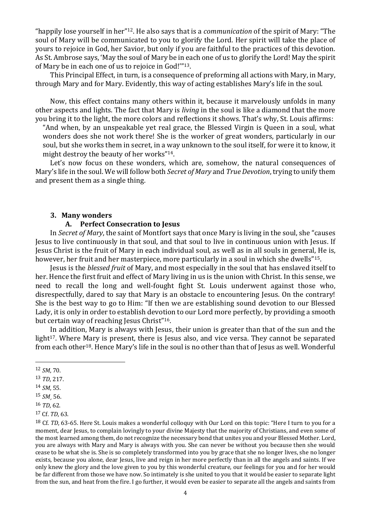"happily lose yourself in her"12. He also says that is a *communication* of the spirit of Mary: "The soul of Mary will be communicated to you to glorify the Lord. Her spirit will take the place of yours to rejoice in God, her Savior, but only if you are faithful to the practices of this devotion. As St. Ambrose says, 'May the soul of Mary be in each one of us to glorify the Lord! May the spirit of Mary be in each one of us to rejoice in God!'"13.

This Principal Effect, in turn, is a consequence of preforming all actions with Mary, in Mary, through Mary and for Mary. Evidently, this way of acting establishes Mary's life in the soul.

Now, this effect contains many others within it, because it marvelously unfolds in many other aspects and lights. The fact that Mary is *living* in the soul is like a diamond that the more you bring it to the light, the more colors and reflections it shows. That's why, St. Louis affirms:

"And when, by an unspeakable yet real grace, the Blessed Virgin is Queen in a soul, what wonders does she not work there! She is the worker of great wonders, particularly in our soul, but she works them in secret, in a way unknown to the soul itself, for were it to know, it might destroy the beauty of her works"14.

Let's now focus on these wonders, which are, somehow, the natural consequences of Mary's life in the soul. We will follow both *Secret of Mary* and *True Devotion*, trying to unify them and present them as a single thing.

#### **3. Many wonders**

#### **A. Perfect Consecration to Jesus**

In *Secret of Mary*, the saint of Montfort says that once Mary is living in the soul, she "causes Jesus to live continuously in that soul, and that soul to live in continuous union with Jesus. If Jesus Christ is the fruit of Mary in each individual soul, as well as in all souls in general, He is, however, her fruit and her masterpiece, more particularly in a soul in which she dwells"15.

Jesus is the *blessed fruit* of Mary, and most especially in the soul that has enslaved itself to her. Hence the first fruit and effect of Mary living in us is the union with Christ. In this sense, we need to recall the long and well-fought fight St. Louis underwent against those who, disrespectfully, dared to say that Mary is an obstacle to encountering Jesus. On the contrary! She is the best way to go to Him: "If then we are establishing sound devotion to our Blessed Lady, it is only in order to establish devotion to our Lord more perfectly, by providing a smooth but certain way of reaching Jesus Christ"16.

In addition, Mary is always with Jesus, their union is greater than that of the sun and the light<sup>17</sup>. Where Mary is present, there is Jesus also, and vice versa. They cannot be separated from each other18. Hence Mary's life in the soul is no other than that of Jesus as well. Wonderful

l

<sup>12</sup> *SM*, 70.

<sup>13</sup> *TD*, 217.

<sup>14</sup> *SM*, 55.

<sup>15</sup> *SM*¸ 56.

<sup>16</sup> *TD*, 62.

<sup>17</sup> Cf. *TD*, 63.

<sup>18</sup> Cf. *TD*, 63-65. Here St. Louis makes a wonderful colloquy with Our Lord on this topic: "Here I turn to you for a moment, dear Jesus, to complain lovingly to your divine Majesty that the majority of Christians, and even some of the most learned among them, do not recognize the necessary bond that unites you and your Blessed Mother. Lord, you are always with Mary and Mary is always with you. She can never be without you because then she would cease to be what she is. She is so completely transformed into you by grace that she no longer lives, she no longer exists, because you alone, dear Jesus, live and reign in her more perfectly than in all the angels and saints. If we only knew the glory and the love given to you by this wonderful creature, our feelings for you and for her would be far different from those we have now. So intimately is she united to you that it would be easier to separate light from the sun, and heat from the fire. I go further, it would even be easier to separate all the angels and saints from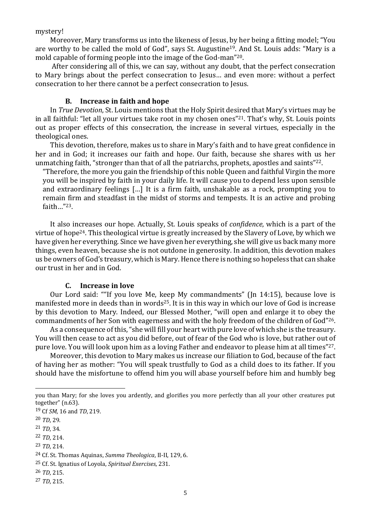mystery!

Moreover, Mary transforms us into the likeness of Jesus, by her being a fitting model; "You are worthy to be called the mold of God", says St. Augustine19. And St. Louis adds: "Mary is a mold capable of forming people into the image of the God-man"20.

After considering all of this, we can say, without any doubt, that the perfect consecration to Mary brings about the perfect consecration to Jesus… and even more: without a perfect consecration to her there cannot be a perfect consecration to Jesus.

# **B. Increase in faith and hope**

In *True Devotion*, St. Louis mentions that the Holy Spirit desired that Mary's virtues may be in all faithful: "let all your virtues take root in my chosen ones"21. That's why, St. Louis points out as proper effects of this consecration, the increase in several virtues, especially in the theological ones.

This devotion, therefore, makes us to share in Mary's faith and to have great confidence in her and in God; it increases our faith and hope. Our faith, because she shares with us her unmatching faith, "stronger than that of all the patriarchs, prophets, apostles and saints"22.

"Therefore, the more you gain the friendship of this noble Queen and faithful Virgin the more you will be inspired by faith in your daily life. It will cause you to depend less upon sensible and extraordinary feelings […] It is a firm faith, unshakable as a rock, prompting you to remain firm and steadfast in the midst of storms and tempests. It is an active and probing faith…"23.

It also increases our hope. Actually, St. Louis speaks of *confidence*, which is a part of the virtue of hope24. This theological virtue is greatly increased by the Slavery of Love, by which we have given her everything. Since we have given her everything, she will give us back many more things, even heaven, because she is not outdone in generosity. In addition, this devotion makes us be owners of God's treasury, which is Mary. Hence there is nothing so hopeless that can shake our trust in her and in God.

## **C. Increase in love**

Our Lord said: ""If you love Me, keep My commandments" (Jn 14:15), because love is manifested more in deeds than in words<sup>25</sup>. It is in this way in which our love of God is increase by this devotion to Mary. Indeed, our Blessed Mother, "will open and enlarge it to obey the commandments of her Son with eagerness and with the holy freedom of the children of God"26.

As a consequence of this, "she will fill your heart with pure love of which she is the treasury. You will then cease to act as you did before, out of fear of the God who is love, but rather out of pure love. You will look upon him as a loving Father and endeavor to please him at all times"27.

Moreover, this devotion to Mary makes us increase our filiation to God, because of the fact of having her as mother: "You will speak trustfully to God as a child does to its father. If you should have the misfortune to offend him you will abase yourself before him and humbly beg

- 22 *TD*, 214.
- 23 *TD*, 214.

you than Mary; for she loves you ardently, and glorifies you more perfectly than all your other creatures put together" (n.63).

<sup>19</sup> Cf *SM*, 16 and *TD*, 219.

<sup>20</sup> *TD*, 29.

<sup>21</sup> *TD*, 34.

<sup>24</sup> Cf. St. Thomas Aquinas, *Summa Theologica*, II-II, 129, 6.

<sup>25</sup> Cf. St. Ignatius of Loyola, *Spiritual Exercises*, 231.

<sup>26</sup> *TD*, 215.

<sup>27</sup> *TD*, 215.